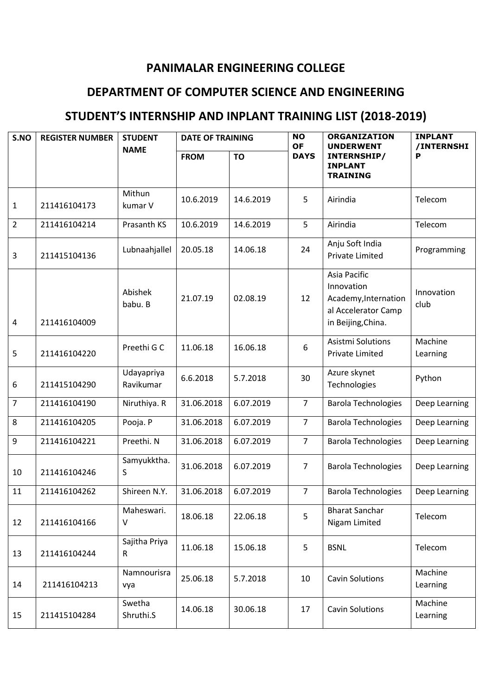## **PANIMALAR ENGINEERING COLLEGE**

## **DEPARTMENT OF COMPUTER SCIENCE AND ENGINEERING**

## **STUDENT'S INTERNSHIP AND INPLANT TRAINING LIST (2018-2019)**

| S.NO           | <b>REGISTER NUMBER</b> | <b>STUDENT</b>          | <b>DATE OF TRAINING</b> |           | <b>NO</b><br><b>OF</b> | <b>ORGANIZATION</b><br><b>UNDERWENT</b>                                                         | <b>INPLANT</b><br>/INTERNSHI |
|----------------|------------------------|-------------------------|-------------------------|-----------|------------------------|-------------------------------------------------------------------------------------------------|------------------------------|
|                |                        | <b>NAME</b>             | <b>FROM</b>             | <b>TO</b> | <b>DAYS</b>            | INTERNSHIP/<br><b>INPLANT</b><br><b>TRAINING</b>                                                | P                            |
| $\mathbf{1}$   | 211416104173           | Mithun<br>kumar V       | 10.6.2019               | 14.6.2019 | 5                      | Airindia                                                                                        | Telecom                      |
| $\overline{2}$ | 211416104214           | Prasanth KS             | 10.6.2019               | 14.6.2019 | 5                      | Airindia                                                                                        | Telecom                      |
| 3              | 211415104136           | Lubnaahjallel           | 20.05.18                | 14.06.18  | 24                     | Anju Soft India<br><b>Private Limited</b>                                                       | Programming                  |
| $\overline{4}$ | 211416104009           | Abishek<br>babu. B      | 21.07.19                | 02.08.19  | 12                     | Asia Pacific<br>Innovation<br>Academy, Internation<br>al Accelerator Camp<br>in Beijing, China. | Innovation<br>club           |
| 5              | 211416104220           | Preethi G C             | 11.06.18                | 16.06.18  | 6                      | Asistmi Solutions<br><b>Private Limited</b>                                                     | Machine<br>Learning          |
| 6              | 211415104290           | Udayapriya<br>Ravikumar | 6.6.2018                | 5.7.2018  | 30                     | Azure skynet<br>Technologies                                                                    | Python                       |
| $\overline{7}$ | 211416104190           | Niruthiya. R            | 31.06.2018              | 6.07.2019 | $\overline{7}$         | <b>Barola Technologies</b>                                                                      | Deep Learning                |
| 8              | 211416104205           | Pooja. P                | 31.06.2018              | 6.07.2019 | $\overline{7}$         | <b>Barola Technologies</b>                                                                      | Deep Learning                |
| 9              | 211416104221           | Preethi. N              | 31.06.2018              | 6.07.2019 | $\overline{7}$         | <b>Barola Technologies</b>                                                                      | Deep Learning                |
| 10             | 211416104246           | Samyukktha.<br>S        | 31.06.2018              | 6.07.2019 | $\overline{7}$         | <b>Barola Technologies</b>                                                                      | Deep Learning                |
| 11             | 211416104262           | Shireen N.Y.            | 31.06.2018              | 6.07.2019 | $\overline{7}$         | <b>Barola Technologies</b>                                                                      | Deep Learning                |
| 12             | 211416104166           | Maheswari.<br>$\vee$    | 18.06.18                | 22.06.18  | 5                      | <b>Bharat Sanchar</b><br>Nigam Limited                                                          | Telecom                      |
| 13             | 211416104244           | Sajitha Priya<br>R      | 11.06.18                | 15.06.18  | 5                      | <b>BSNL</b>                                                                                     | Telecom                      |
| 14             | 211416104213           | Namnourisra<br>vya      | 25.06.18                | 5.7.2018  | 10                     | <b>Cavin Solutions</b>                                                                          | Machine<br>Learning          |
| 15             | 211415104284           | Swetha<br>Shruthi.S     | 14.06.18                | 30.06.18  | 17                     | <b>Cavin Solutions</b>                                                                          | Machine<br>Learning          |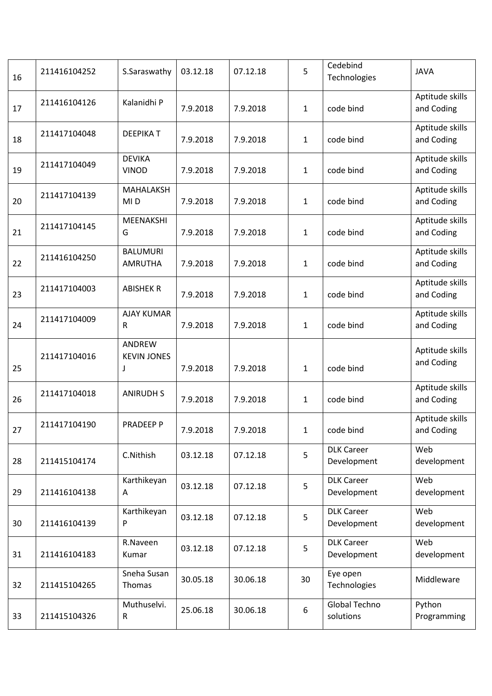| 16 | 211416104252 | S.Saraswathy                      | 03.12.18 | 07.12.18 | 5            | Cedebind<br>Technologies         | <b>JAVA</b>                   |
|----|--------------|-----------------------------------|----------|----------|--------------|----------------------------------|-------------------------------|
| 17 | 211416104126 | Kalanidhi P                       | 7.9.2018 | 7.9.2018 | $\mathbf{1}$ | code bind                        | Aptitude skills<br>and Coding |
| 18 | 211417104048 | <b>DEEPIKAT</b>                   | 7.9.2018 | 7.9.2018 | $\mathbf{1}$ | code bind                        | Aptitude skills<br>and Coding |
| 19 | 211417104049 | <b>DEVIKA</b><br><b>VINOD</b>     | 7.9.2018 | 7.9.2018 | $\mathbf{1}$ | code bind                        | Aptitude skills<br>and Coding |
| 20 | 211417104139 | MAHALAKSH<br>MI <sub>D</sub>      | 7.9.2018 | 7.9.2018 | $\mathbf{1}$ | code bind                        | Aptitude skills<br>and Coding |
| 21 | 211417104145 | MEENAKSHI<br>G                    | 7.9.2018 | 7.9.2018 | $\mathbf{1}$ | code bind                        | Aptitude skills<br>and Coding |
| 22 | 211416104250 | <b>BALUMURI</b><br><b>AMRUTHA</b> | 7.9.2018 | 7.9.2018 | $\mathbf{1}$ | code bind                        | Aptitude skills<br>and Coding |
| 23 | 211417104003 | <b>ABISHEK R</b>                  | 7.9.2018 | 7.9.2018 | $\mathbf{1}$ | code bind                        | Aptitude skills<br>and Coding |
| 24 | 211417104009 | <b>AJAY KUMAR</b><br>R            | 7.9.2018 | 7.9.2018 | 1            | code bind                        | Aptitude skills<br>and Coding |
| 25 | 211417104016 | ANDREW<br><b>KEVIN JONES</b><br>J | 7.9.2018 | 7.9.2018 | $\mathbf{1}$ | code bind                        | Aptitude skills<br>and Coding |
| 26 | 211417104018 | <b>ANIRUDH S</b>                  | 7.9.2018 | 7.9.2018 | $\mathbf{1}$ | code bind                        | Aptitude skills<br>and Coding |
| 27 | 211417104190 | PRADEEP P                         | 7.9.2018 | 7.9.2018 |              | $1$ code bind                    | Aptitude skills<br>and Coding |
| 28 | 211415104174 | C.Nithish                         | 03.12.18 | 07.12.18 | 5            | <b>DLK Career</b><br>Development | Web<br>development            |
| 29 | 211416104138 | Karthikeyan<br>A                  | 03.12.18 | 07.12.18 | 5            | <b>DLK Career</b><br>Development | Web<br>development            |
| 30 | 211416104139 | Karthikeyan<br>P                  | 03.12.18 | 07.12.18 | 5            | <b>DLK Career</b><br>Development | Web<br>development            |
| 31 | 211416104183 | R.Naveen<br>Kumar                 | 03.12.18 | 07.12.18 | 5            | <b>DLK Career</b><br>Development | Web<br>development            |
| 32 | 211415104265 | Sneha Susan<br>Thomas             | 30.05.18 | 30.06.18 | 30           | Eye open<br>Technologies         | Middleware                    |
| 33 | 211415104326 | Muthuselvi.<br>$\mathsf R$        | 25.06.18 | 30.06.18 | 6            | Global Techno<br>solutions       | Python<br>Programming         |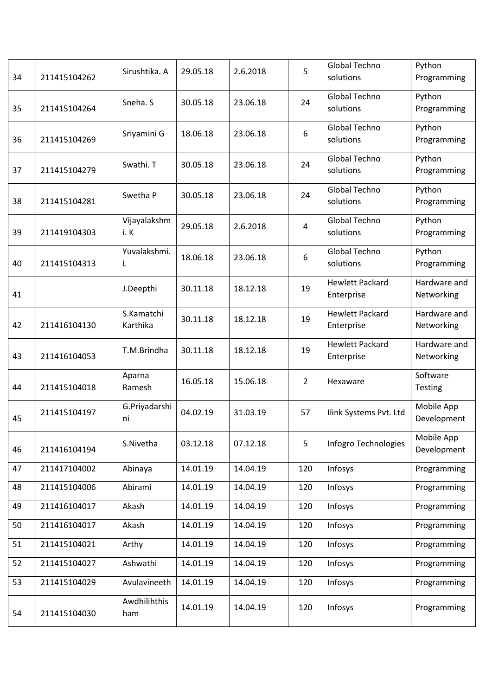| 34 | 211415104262 | Sirushtika. A          | 29.05.18 | 2.6.2018 | 5              | Global Techno<br>solutions           | Python<br>Programming      |
|----|--------------|------------------------|----------|----------|----------------|--------------------------------------|----------------------------|
| 35 | 211415104264 | Sneha. S               | 30.05.18 | 23.06.18 | 24             | <b>Global Techno</b><br>solutions    | Python<br>Programming      |
| 36 | 211415104269 | Sriyamini G            | 18.06.18 | 23.06.18 | 6              | <b>Global Techno</b><br>solutions    | Python<br>Programming      |
| 37 | 211415104279 | Swathi. T              | 30.05.18 | 23.06.18 | 24             | <b>Global Techno</b><br>solutions    | Python<br>Programming      |
| 38 | 211415104281 | Swetha P               | 30.05.18 | 23.06.18 | 24             | <b>Global Techno</b><br>solutions    | Python<br>Programming      |
| 39 | 211419104303 | Vijayalakshm<br>i.K    | 29.05.18 | 2.6.2018 | 4              | Global Techno<br>solutions           | Python<br>Programming      |
| 40 | 211415104313 | Yuvalakshmi.<br>L      | 18.06.18 | 23.06.18 | 6              | <b>Global Techno</b><br>solutions    | Python<br>Programming      |
| 41 |              | J.Deepthi              | 30.11.18 | 18.12.18 | 19             | <b>Hewlett Packard</b><br>Enterprise | Hardware and<br>Networking |
| 42 | 211416104130 | S.Kamatchi<br>Karthika | 30.11.18 | 18.12.18 | 19             | <b>Hewlett Packard</b><br>Enterprise | Hardware and<br>Networking |
| 43 | 211416104053 | T.M.Brindha            | 30.11.18 | 18.12.18 | 19             | <b>Hewlett Packard</b><br>Enterprise | Hardware and<br>Networking |
| 44 | 211415104018 | Aparna<br>Ramesh       | 16.05.18 | 15.06.18 | $\overline{2}$ | Hexaware                             | Software<br>Testing        |
| 45 | 211415104197 | G.Priyadarshi<br>ni    | 04.02.19 | 31.03.19 | 57             | Ilink Systems Pvt. Ltd               | Mobile App<br>Development  |
| 46 | 211416104194 | S.Nivetha              | 03.12.18 | 07.12.18 | 5              | Infogro Technologies                 | Mobile App<br>Development  |
| 47 | 211417104002 | Abinaya                | 14.01.19 | 14.04.19 | 120            | Infosys                              | Programming                |
| 48 | 211415104006 | Abirami                | 14.01.19 | 14.04.19 | 120            | Infosys                              | Programming                |
| 49 | 211416104017 | Akash                  | 14.01.19 | 14.04.19 | 120            | Infosys                              | Programming                |
| 50 | 211416104017 | Akash                  | 14.01.19 | 14.04.19 | 120            | Infosys                              | Programming                |
| 51 | 211415104021 | Arthy                  | 14.01.19 | 14.04.19 | 120            | Infosys                              | Programming                |
| 52 | 211415104027 | Ashwathi               | 14.01.19 | 14.04.19 | 120            | Infosys                              | Programming                |
| 53 | 211415104029 | Avulavineeth           | 14.01.19 | 14.04.19 | 120            | Infosys                              | Programming                |
| 54 | 211415104030 | Awdhilihthis<br>ham    | 14.01.19 | 14.04.19 | 120            | Infosys                              | Programming                |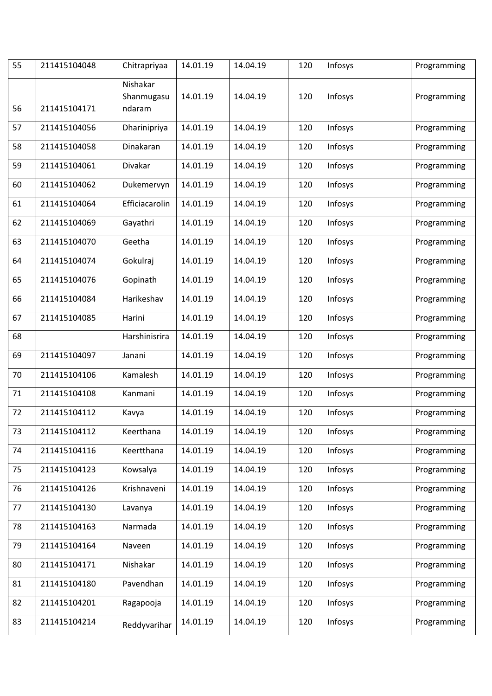| 55 | 211415104048 | Chitrapriyaa                     | 14.01.19 | 14.04.19 | 120 | Infosys | Programming |
|----|--------------|----------------------------------|----------|----------|-----|---------|-------------|
| 56 | 211415104171 | Nishakar<br>Shanmugasu<br>ndaram | 14.01.19 | 14.04.19 | 120 | Infosys | Programming |
| 57 | 211415104056 | Dharinipriya                     | 14.01.19 | 14.04.19 | 120 | Infosys | Programming |
| 58 | 211415104058 | Dinakaran                        | 14.01.19 | 14.04.19 | 120 | Infosys | Programming |
| 59 | 211415104061 | Divakar                          | 14.01.19 | 14.04.19 | 120 | Infosys | Programming |
| 60 | 211415104062 | Dukemervyn                       | 14.01.19 | 14.04.19 | 120 | Infosys | Programming |
| 61 | 211415104064 | Efficiacarolin                   | 14.01.19 | 14.04.19 | 120 | Infosys | Programming |
| 62 | 211415104069 | Gayathri                         | 14.01.19 | 14.04.19 | 120 | Infosys | Programming |
| 63 | 211415104070 | Geetha                           | 14.01.19 | 14.04.19 | 120 | Infosys | Programming |
| 64 | 211415104074 | Gokulraj                         | 14.01.19 | 14.04.19 | 120 | Infosys | Programming |
| 65 | 211415104076 | Gopinath                         | 14.01.19 | 14.04.19 | 120 | Infosys | Programming |
| 66 | 211415104084 | Harikeshav                       | 14.01.19 | 14.04.19 | 120 | Infosys | Programming |
| 67 | 211415104085 | Harini                           | 14.01.19 | 14.04.19 | 120 | Infosys | Programming |
| 68 |              | Harshinisrira                    | 14.01.19 | 14.04.19 | 120 | Infosys | Programming |
| 69 | 211415104097 | Janani                           | 14.01.19 | 14.04.19 | 120 | Infosys | Programming |
| 70 | 211415104106 | Kamalesh                         | 14.01.19 | 14.04.19 | 120 | Infosys | Programming |
| 71 | 211415104108 | Kanmani                          | 14.01.19 | 14.04.19 | 120 | Infosys | Programming |
| 72 | 211415104112 | Kavya                            | 14.01.19 | 14.04.19 | 120 | Infosys | Programming |
| 73 | 211415104112 | Keerthana                        | 14.01.19 | 14.04.19 | 120 | Infosys | Programming |
| 74 | 211415104116 | Keertthana                       | 14.01.19 | 14.04.19 | 120 | Infosys | Programming |
| 75 | 211415104123 | Kowsalya                         | 14.01.19 | 14.04.19 | 120 | Infosys | Programming |
| 76 | 211415104126 | Krishnaveni                      | 14.01.19 | 14.04.19 | 120 | Infosys | Programming |
| 77 | 211415104130 | Lavanya                          | 14.01.19 | 14.04.19 | 120 | Infosys | Programming |
| 78 | 211415104163 | Narmada                          | 14.01.19 | 14.04.19 | 120 | Infosys | Programming |
| 79 | 211415104164 | Naveen                           | 14.01.19 | 14.04.19 | 120 | Infosys | Programming |
| 80 | 211415104171 | Nishakar                         | 14.01.19 | 14.04.19 | 120 | Infosys | Programming |
| 81 | 211415104180 | Pavendhan                        | 14.01.19 | 14.04.19 | 120 | Infosys | Programming |
| 82 | 211415104201 | Ragapooja                        | 14.01.19 | 14.04.19 | 120 | Infosys | Programming |
| 83 | 211415104214 | Reddyvarihar                     | 14.01.19 | 14.04.19 | 120 | Infosys | Programming |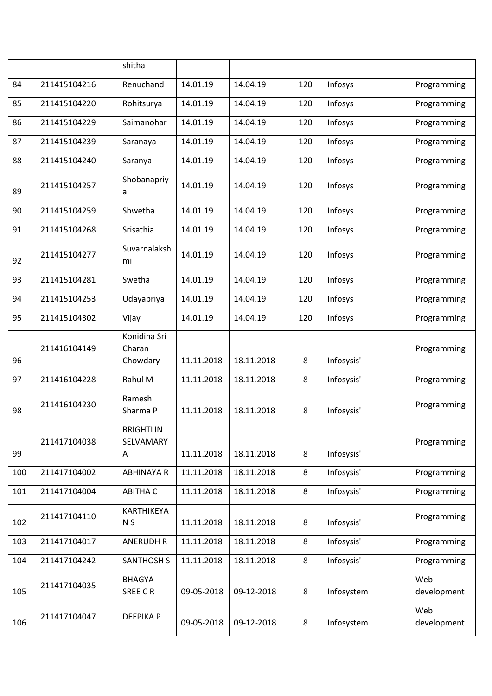|     |              | shitha                             |            |            |         |            |                    |
|-----|--------------|------------------------------------|------------|------------|---------|------------|--------------------|
| 84  | 211415104216 | Renuchand                          | 14.01.19   | 14.04.19   | 120     | Infosys    | Programming        |
| 85  | 211415104220 | Rohitsurya                         | 14.01.19   | 14.04.19   | 120     | Infosys    | Programming        |
| 86  | 211415104229 | Saimanohar                         | 14.01.19   | 14.04.19   | 120     | Infosys    | Programming        |
| 87  | 211415104239 | Saranaya                           | 14.01.19   | 14.04.19   | 120     | Infosys    | Programming        |
| 88  | 211415104240 | Saranya                            | 14.01.19   | 14.04.19   | 120     | Infosys    | Programming        |
| 89  | 211415104257 | Shobanapriy<br>a                   | 14.01.19   | 14.04.19   | 120     | Infosys    | Programming        |
| 90  | 211415104259 | Shwetha                            | 14.01.19   | 14.04.19   | 120     | Infosys    | Programming        |
| 91  | 211415104268 | Srisathia                          | 14.01.19   | 14.04.19   | 120     | Infosys    | Programming        |
| 92  | 211415104277 | Suvarnalaksh<br>mi                 | 14.01.19   | 14.04.19   | 120     | Infosys    | Programming        |
| 93  | 211415104281 | Swetha                             | 14.01.19   | 14.04.19   | 120     | Infosys    | Programming        |
| 94  | 211415104253 | Udayapriya                         | 14.01.19   | 14.04.19   | 120     | Infosys    | Programming        |
| 95  | 211415104302 | Vijay                              | 14.01.19   | 14.04.19   | 120     | Infosys    | Programming        |
| 96  | 211416104149 | Konidina Sri<br>Charan<br>Chowdary | 11.11.2018 | 18.11.2018 | 8       | Infosysis' | Programming        |
| 97  | 211416104228 | Rahul M                            | 11.11.2018 | 18.11.2018 | 8       | Infosysis' | Programming        |
| 98  | 211416104230 | Ramesh<br>Sharma P                 | 11.11.2018 | 18.11.2018 | 8       | Infosysis' | Programming        |
| 99  | 211417104038 | <b>BRIGHTLIN</b><br>SELVAMARY<br>A | 11.11.2018 | 18.11.2018 | 8       | Infosysis' | Programming        |
| 100 | 211417104002 | <b>ABHINAYA R</b>                  | 11.11.2018 | 18.11.2018 | 8       | Infosysis' | Programming        |
| 101 | 211417104004 | <b>ABITHA C</b>                    | 11.11.2018 | 18.11.2018 | 8       | Infosysis' | Programming        |
| 102 | 211417104110 | KARTHIKEYA<br>N <sub>S</sub>       | 11.11.2018 | 18.11.2018 | 8       | Infosysis' | Programming        |
| 103 | 211417104017 | <b>ANERUDH R</b>                   | 11.11.2018 | 18.11.2018 | 8       | Infosysis' | Programming        |
| 104 | 211417104242 | <b>SANTHOSH S</b>                  | 11.11.2018 | 18.11.2018 | $\bf 8$ | Infosysis' | Programming        |
| 105 | 211417104035 | <b>BHAGYA</b><br>SREE CR           | 09-05-2018 | 09-12-2018 | 8       | Infosystem | Web<br>development |
| 106 | 211417104047 | <b>DEEPIKAP</b>                    | 09-05-2018 | 09-12-2018 | $\bf 8$ | Infosystem | Web<br>development |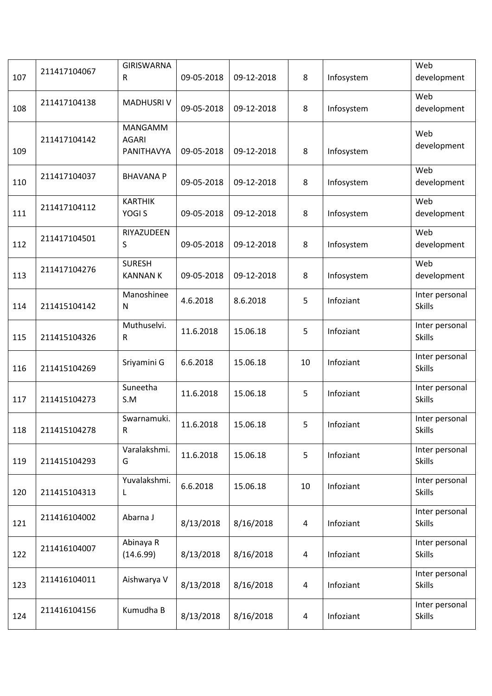| 107 | 211417104067 | <b>GIRISWARNA</b><br>R                | 09-05-2018 | 09-12-2018 | 8                       | Infosystem | Web<br>development              |
|-----|--------------|---------------------------------------|------------|------------|-------------------------|------------|---------------------------------|
| 108 | 211417104138 | <b>MADHUSRIV</b>                      | 09-05-2018 | 09-12-2018 | 8                       | Infosystem | Web<br>development              |
| 109 | 211417104142 | MANGAMM<br><b>AGARI</b><br>PANITHAVYA | 09-05-2018 | 09-12-2018 | 8                       | Infosystem | Web<br>development              |
| 110 | 211417104037 | <b>BHAVANA P</b>                      | 09-05-2018 | 09-12-2018 | 8                       | Infosystem | Web<br>development              |
| 111 | 211417104112 | <b>KARTHIK</b><br>YOGI <sub>S</sub>   | 09-05-2018 | 09-12-2018 | 8                       | Infosystem | Web<br>development              |
| 112 | 211417104501 | RIYAZUDEEN<br>S                       | 09-05-2018 | 09-12-2018 | 8                       | Infosystem | Web<br>development              |
| 113 | 211417104276 | <b>SURESH</b><br><b>KANNAN K</b>      | 09-05-2018 | 09-12-2018 | 8                       | Infosystem | Web<br>development              |
| 114 | 211415104142 | Manoshinee<br>$\mathsf{N}$            | 4.6.2018   | 8.6.2018   | 5                       | Infoziant  | Inter personal<br><b>Skills</b> |
| 115 | 211415104326 | Muthuselvi.<br>R                      | 11.6.2018  | 15.06.18   | 5                       | Infoziant  | Inter personal<br><b>Skills</b> |
| 116 | 211415104269 | Sriyamini G                           | 6.6.2018   | 15.06.18   | 10                      | Infoziant  | Inter personal<br><b>Skills</b> |
| 117 | 211415104273 | Suneetha<br>S.M                       | 11.6.2018  | 15.06.18   | 5                       | Infoziant  | Inter personal<br><b>Skills</b> |
| 118 | 211415104278 | Swarnamuki.<br>R                      | 11.6.2018  | 15.06.18   | 5                       | Infoziant  | Inter personal<br><b>Skills</b> |
| 119 | 211415104293 | Varalakshmi.<br>G                     | 11.6.2018  | 15.06.18   | 5                       | Infoziant  | Inter personal<br><b>Skills</b> |
| 120 | 211415104313 | Yuvalakshmi.<br>L                     | 6.6.2018   | 15.06.18   | 10                      | Infoziant  | Inter personal<br><b>Skills</b> |
| 121 | 211416104002 | Abarna J                              | 8/13/2018  | 8/16/2018  | 4                       | Infoziant  | Inter personal<br><b>Skills</b> |
| 122 | 211416104007 | Abinaya R<br>(14.6.99)                | 8/13/2018  | 8/16/2018  | $\overline{\mathbf{4}}$ | Infoziant  | Inter personal<br><b>Skills</b> |
| 123 | 211416104011 | Aishwarya V                           | 8/13/2018  | 8/16/2018  | 4                       | Infoziant  | Inter personal<br><b>Skills</b> |
| 124 | 211416104156 | Kumudha B                             | 8/13/2018  | 8/16/2018  | 4                       | Infoziant  | Inter personal<br><b>Skills</b> |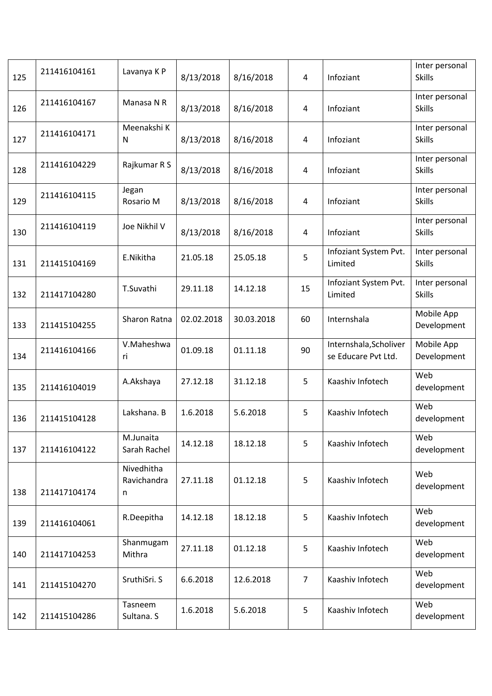| 125 | 211416104161 | Lavanya K P                    | 8/13/2018  | 8/16/2018  | $\overline{4}$ | Infoziant                                     | Inter personal<br><b>Skills</b> |
|-----|--------------|--------------------------------|------------|------------|----------------|-----------------------------------------------|---------------------------------|
| 126 | 211416104167 | Manasa N R                     | 8/13/2018  | 8/16/2018  | 4              | Infoziant                                     | Inter personal<br><b>Skills</b> |
| 127 | 211416104171 | Meenakshi K<br>N               | 8/13/2018  | 8/16/2018  | 4              | Infoziant                                     | Inter personal<br><b>Skills</b> |
| 128 | 211416104229 | Rajkumar R S                   | 8/13/2018  | 8/16/2018  | 4              | Infoziant                                     | Inter personal<br><b>Skills</b> |
| 129 | 211416104115 | Jegan<br>Rosario M             | 8/13/2018  | 8/16/2018  | 4              | Infoziant                                     | Inter personal<br><b>Skills</b> |
| 130 | 211416104119 | Joe Nikhil V                   | 8/13/2018  | 8/16/2018  | 4              | Infoziant                                     | Inter personal<br><b>Skills</b> |
| 131 | 211415104169 | E.Nikitha                      | 21.05.18   | 25.05.18   | 5              | Infoziant System Pvt.<br>Limited              | Inter personal<br><b>Skills</b> |
| 132 | 211417104280 | T.Suvathi                      | 29.11.18   | 14.12.18   | 15             | Infoziant System Pvt.<br>Limited              | Inter personal<br><b>Skills</b> |
| 133 | 211415104255 | Sharon Ratna                   | 02.02.2018 | 30.03.2018 | 60             | Internshala                                   | Mobile App<br>Development       |
| 134 | 211416104166 | V.Maheshwa<br>ri               | 01.09.18   | 01.11.18   | 90             | Internshala, Scholiver<br>se Educare Pvt Ltd. | Mobile App<br>Development       |
| 135 | 211416104019 | A.Akshaya                      | 27.12.18   | 31.12.18   | 5              | Kaashiv Infotech                              | Web<br>development              |
| 136 | 211415104128 | Lakshana. B                    | 1.6.2018   | 5.6.2018   | 5              | Kaashiv Infotech                              | Web<br>development              |
| 137 | 211416104122 | M.Junaita<br>Sarah Rachel      | 14.12.18   | 18.12.18   | 5              | Kaashiv Infotech                              | Web<br>development              |
| 138 | 211417104174 | Nivedhitha<br>Ravichandra<br>n | 27.11.18   | 01.12.18   | 5              | Kaashiv Infotech                              | Web<br>development              |
| 139 | 211416104061 | R.Deepitha                     | 14.12.18   | 18.12.18   | 5              | Kaashiv Infotech                              | Web<br>development              |
| 140 | 211417104253 | Shanmugam<br>Mithra            | 27.11.18   | 01.12.18   | 5              | Kaashiv Infotech                              | Web<br>development              |
| 141 | 211415104270 | SruthiSri. S                   | 6.6.2018   | 12.6.2018  | 7              | Kaashiv Infotech                              | Web<br>development              |
| 142 | 211415104286 | Tasneem<br>Sultana. S          | 1.6.2018   | 5.6.2018   | 5              | Kaashiv Infotech                              | Web<br>development              |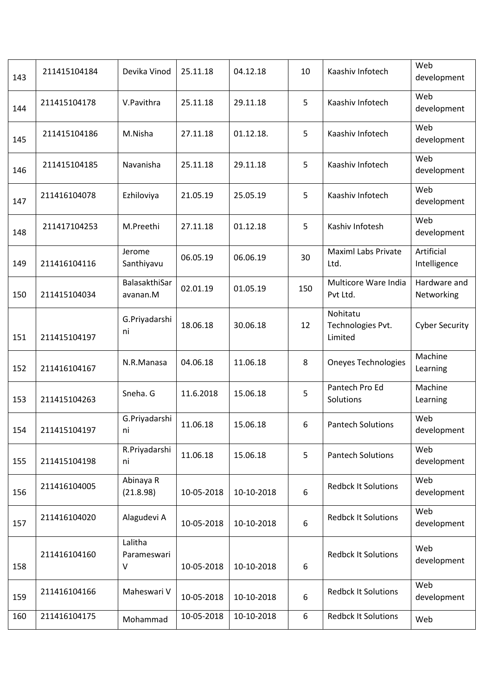| 143 | 211415104184 | Devika Vinod                | 25.11.18   | 04.12.18   | 10               | Kaashiv Infotech                         | Web<br>development         |
|-----|--------------|-----------------------------|------------|------------|------------------|------------------------------------------|----------------------------|
| 144 | 211415104178 | V.Pavithra                  | 25.11.18   | 29.11.18   | 5                | Kaashiv Infotech                         | Web<br>development         |
| 145 | 211415104186 | M.Nisha                     | 27.11.18   | 01.12.18.  | 5                | Kaashiv Infotech                         | Web<br>development         |
| 146 | 211415104185 | Navanisha                   | 25.11.18   | 29.11.18   | 5                | Kaashiv Infotech                         | Web<br>development         |
| 147 | 211416104078 | Ezhiloviya                  | 21.05.19   | 25.05.19   | 5                | Kaashiv Infotech                         | Web<br>development         |
| 148 | 211417104253 | M.Preethi                   | 27.11.18   | 01.12.18   | 5                | Kashiv Infotesh                          | Web<br>development         |
| 149 | 211416104116 | Jerome<br>Santhiyavu        | 06.05.19   | 06.06.19   | 30               | <b>Maximl Labs Private</b><br>Ltd.       | Artificial<br>Intelligence |
| 150 | 211415104034 | BalasakthiSar<br>avanan.M   | 02.01.19   | 01.05.19   | 150              | Multicore Ware India<br>Pvt Ltd.         | Hardware and<br>Networking |
| 151 | 211415104197 | G.Priyadarshi<br>ni         | 18.06.18   | 30.06.18   | 12               | Nohitatu<br>Technologies Pvt.<br>Limited | <b>Cyber Security</b>      |
| 152 | 211416104167 | N.R.Manasa                  | 04.06.18   | 11.06.18   | 8                | <b>Oneyes Technologies</b>               | Machine<br>Learning        |
| 153 | 211415104263 | Sneha. G                    | 11.6.2018  | 15.06.18   | 5                | Pantech Pro Ed<br>Solutions              | Machine<br>Learning        |
| 154 | 211415104197 | G.Priyadarshi<br>ni         | 11.06.18   | 15.06.18   | 6                | <b>Pantech Solutions</b>                 | Web<br>development         |
| 155 | 211415104198 | R.Priyadarshi<br>ni         | 11.06.18   | 15.06.18   | 5                | <b>Pantech Solutions</b>                 | Web<br>development         |
| 156 | 211416104005 | Abinaya R<br>(21.8.98)      | 10-05-2018 | 10-10-2018 | 6                | <b>Redbck It Solutions</b>               | Web<br>development         |
| 157 | 211416104020 | Alagudevi A                 | 10-05-2018 | 10-10-2018 | $\boldsymbol{6}$ | <b>Redbck It Solutions</b>               | Web<br>development         |
| 158 | 211416104160 | Lalitha<br>Parameswari<br>V | 10-05-2018 | 10-10-2018 | 6                | <b>Redbck It Solutions</b>               | Web<br>development         |
| 159 | 211416104166 | Maheswari V                 | 10-05-2018 | 10-10-2018 | 6                | <b>Redbck It Solutions</b>               | Web<br>development         |
| 160 | 211416104175 | Mohammad                    | 10-05-2018 | 10-10-2018 | 6                | <b>Redbck It Solutions</b>               | Web                        |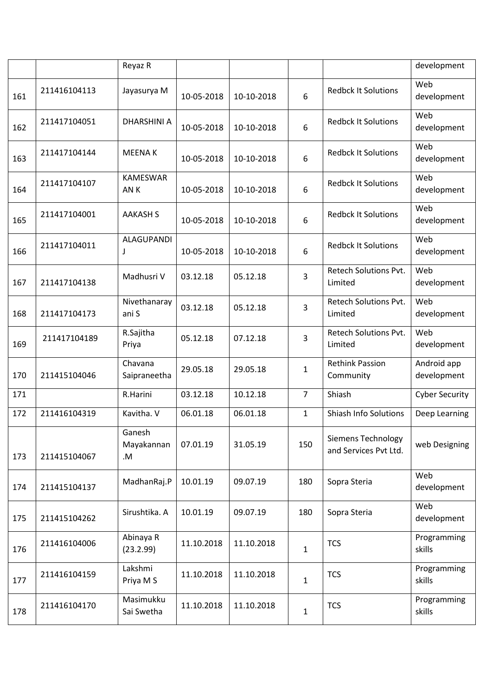|     |              | Reyaz R                      |            |            |                |                                                    | development                |
|-----|--------------|------------------------------|------------|------------|----------------|----------------------------------------------------|----------------------------|
| 161 | 211416104113 | Jayasurya M                  | 10-05-2018 | 10-10-2018 | 6              | <b>Redbck It Solutions</b>                         | Web<br>development         |
| 162 | 211417104051 | <b>DHARSHINI A</b>           | 10-05-2018 | 10-10-2018 | 6              | <b>Redbck It Solutions</b>                         | Web<br>development         |
| 163 | 211417104144 | <b>MEENAK</b>                | 10-05-2018 | 10-10-2018 | 6              | <b>Redbck It Solutions</b>                         | Web<br>development         |
| 164 | 211417104107 | <b>KAMESWAR</b><br>AN K      | 10-05-2018 | 10-10-2018 | 6              | <b>Redbck It Solutions</b>                         | Web<br>development         |
| 165 | 211417104001 | <b>AAKASH S</b>              | 10-05-2018 | 10-10-2018 | 6              | <b>Redbck It Solutions</b>                         | Web<br>development         |
| 166 | 211417104011 | <b>ALAGUPANDI</b><br>J       | 10-05-2018 | 10-10-2018 | 6              | <b>Redbck It Solutions</b>                         | Web<br>development         |
| 167 | 211417104138 | Madhusri V                   | 03.12.18   | 05.12.18   | 3              | <b>Retech Solutions Pvt.</b><br>Limited            | Web<br>development         |
| 168 | 211417104173 | Nivethanaray<br>ani S        | 03.12.18   | 05.12.18   | 3              | Retech Solutions Pvt.<br>Limited                   | Web<br>development         |
| 169 | 211417104189 | R.Sajitha<br>Priya           | 05.12.18   | 07.12.18   | 3              | <b>Retech Solutions Pvt.</b><br>Limited            | Web<br>development         |
| 170 | 211415104046 | Chavana<br>Saipraneetha      | 29.05.18   | 29.05.18   | 1              | <b>Rethink Passion</b><br>Community                | Android app<br>development |
| 171 |              | R.Harini                     | 03.12.18   | 10.12.18   | $\overline{7}$ | Shiash                                             | <b>Cyber Security</b>      |
| 172 | 211416104319 | Kavitha. V                   | 06.01.18   | 06.01.18   | 1              | <b>Shiash Info Solutions</b>                       | Deep Learning              |
| 173 | 211415104067 | Ganesh<br>Mayakannan<br>$.M$ | 07.01.19   | 31.05.19   | 150            | <b>Siemens Technology</b><br>and Services Pvt Ltd. | web Designing              |
| 174 | 211415104137 | MadhanRaj.P                  | 10.01.19   | 09.07.19   | 180            | Sopra Steria                                       | Web<br>development         |
| 175 | 211415104262 | Sirushtika. A                | 10.01.19   | 09.07.19   | 180            | Sopra Steria                                       | Web<br>development         |
| 176 | 211416104006 | Abinaya R<br>(23.2.99)       | 11.10.2018 | 11.10.2018 | $\mathbf 1$    | <b>TCS</b>                                         | Programming<br>skills      |
| 177 | 211416104159 | Lakshmi<br>Priya M S         | 11.10.2018 | 11.10.2018 | $\mathbf{1}$   | <b>TCS</b>                                         | Programming<br>skills      |
| 178 | 211416104170 | Masimukku<br>Sai Swetha      | 11.10.2018 | 11.10.2018 | $\mathbf{1}$   | <b>TCS</b>                                         | Programming<br>skills      |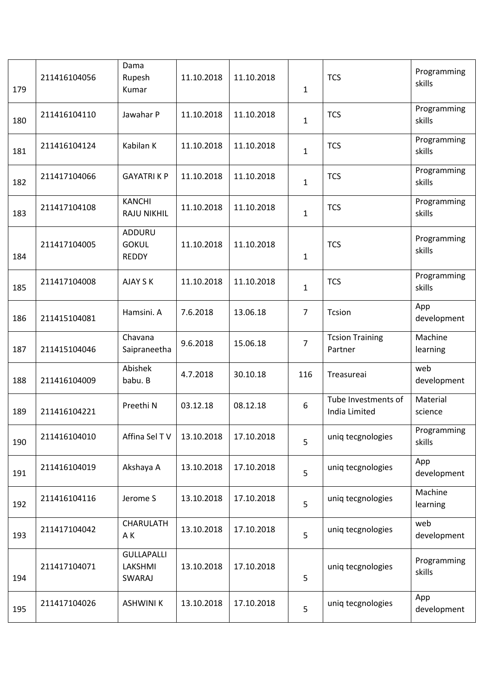| 179 | 211416104056 | Dama<br>Rupesh<br>Kumar                | 11.10.2018 | 11.10.2018 | $\mathbf{1}$   | <b>TCS</b>                           | Programming<br>skills |
|-----|--------------|----------------------------------------|------------|------------|----------------|--------------------------------------|-----------------------|
| 180 | 211416104110 | Jawahar P                              | 11.10.2018 | 11.10.2018 | $\mathbf{1}$   | <b>TCS</b>                           | Programming<br>skills |
| 181 | 211416104124 | Kabilan K                              | 11.10.2018 | 11.10.2018 | $\mathbf 1$    | <b>TCS</b>                           | Programming<br>skills |
| 182 | 211417104066 | <b>GAYATRIKP</b>                       | 11.10.2018 | 11.10.2018 | $\mathbf{1}$   | <b>TCS</b>                           | Programming<br>skills |
| 183 | 211417104108 | <b>KANCHI</b><br><b>RAJU NIKHIL</b>    | 11.10.2018 | 11.10.2018 | $\mathbf{1}$   | <b>TCS</b>                           | Programming<br>skills |
| 184 | 211417104005 | ADDURU<br><b>GOKUL</b><br><b>REDDY</b> | 11.10.2018 | 11.10.2018 | $\mathbf{1}$   | <b>TCS</b>                           | Programming<br>skills |
| 185 | 211417104008 | AJAY S K                               | 11.10.2018 | 11.10.2018 | $\mathbf{1}$   | <b>TCS</b>                           | Programming<br>skills |
| 186 | 211415104081 | Hamsini. A                             | 7.6.2018   | 13.06.18   | $\overline{7}$ | Tcsion                               | App<br>development    |
| 187 | 211415104046 | Chavana<br>Saipraneetha                | 9.6.2018   | 15.06.18   | $\overline{7}$ | <b>Tcsion Training</b><br>Partner    | Machine<br>learning   |
| 188 | 211416104009 | Abishek<br>babu. B                     | 4.7.2018   | 30.10.18   | 116            | Treasureai                           | web<br>development    |
| 189 | 211416104221 | Preethi N                              | 03.12.18   | 08.12.18   | 6              | Tube Investments of<br>India Limited | Material<br>science   |
| 190 | 211416104010 | Affina Sel TV                          | 13.10.2018 | 17.10.2018 | 5              | uniq tecgnologies                    | Programming<br>skills |
| 191 | 211416104019 | Akshaya A                              | 13.10.2018 | 17.10.2018 | 5              | uniq tecgnologies                    | App<br>development    |
| 192 | 211416104116 | Jerome S                               | 13.10.2018 | 17.10.2018 | 5              | uniq tecgnologies                    | Machine<br>learning   |
| 193 | 211417104042 | CHARULATH<br>A K                       | 13.10.2018 | 17.10.2018 | 5              | uniq tecgnologies                    | web<br>development    |
| 194 | 211417104071 | <b>GULLAPALLI</b><br>LAKSHMI<br>SWARAJ | 13.10.2018 | 17.10.2018 | 5              | uniq tecgnologies                    | Programming<br>skills |
| 195 | 211417104026 | <b>ASHWINI K</b>                       | 13.10.2018 | 17.10.2018 | 5              | uniq tecgnologies                    | App<br>development    |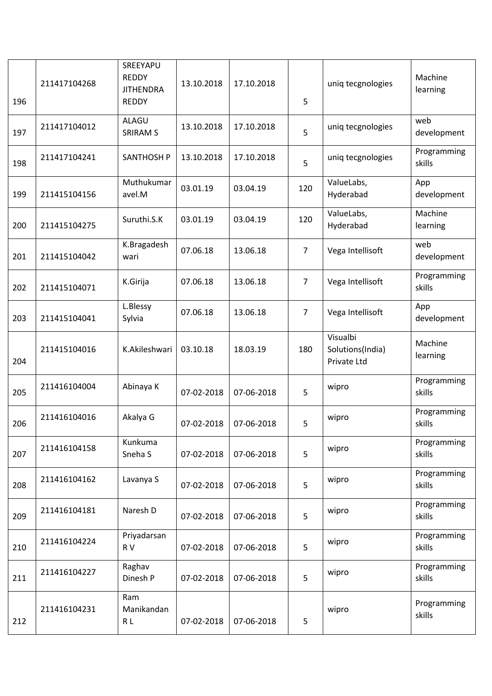| 196 | 211417104268 | SREEYAPU<br><b>REDDY</b><br><b>JITHENDRA</b><br><b>REDDY</b> | 13.10.2018 | 17.10.2018 | 5              | uniq tecgnologies                           | Machine<br>learning   |
|-----|--------------|--------------------------------------------------------------|------------|------------|----------------|---------------------------------------------|-----------------------|
| 197 | 211417104012 | ALAGU<br><b>SRIRAM S</b>                                     | 13.10.2018 | 17.10.2018 | 5              | uniq tecgnologies                           | web<br>development    |
| 198 | 211417104241 | <b>SANTHOSH P</b>                                            | 13.10.2018 | 17.10.2018 | 5              | uniq tecgnologies                           | Programming<br>skills |
| 199 | 211415104156 | Muthukumar<br>avel.M                                         | 03.01.19   | 03.04.19   | 120            | ValueLabs,<br>Hyderabad                     | App<br>development    |
| 200 | 211415104275 | Suruthi.S.K                                                  | 03.01.19   | 03.04.19   | 120            | ValueLabs,<br>Hyderabad                     | Machine<br>learning   |
| 201 | 211415104042 | K.Bragadesh<br>wari                                          | 07.06.18   | 13.06.18   | $\overline{7}$ | Vega Intellisoft                            | web<br>development    |
| 202 | 211415104071 | K.Girija                                                     | 07.06.18   | 13.06.18   | $\overline{7}$ | Vega Intellisoft                            | Programming<br>skills |
| 203 | 211415104041 | L.Blessy<br>Sylvia                                           | 07.06.18   | 13.06.18   | $\overline{7}$ | Vega Intellisoft                            | App<br>development    |
| 204 | 211415104016 | K.Akileshwari                                                | 03.10.18   | 18.03.19   | 180            | Visualbi<br>Solutions(India)<br>Private Ltd | Machine<br>learning   |
| 205 | 211416104004 | Abinaya K                                                    | 07-02-2018 | 07-06-2018 | 5              | wipro                                       | Programming<br>skills |
| 206 | 211416104016 | Akalya G                                                     | 07-02-2018 | 07-06-2018 | 5              | wipro                                       | Programming<br>skills |
| 207 | 211416104158 | Kunkuma<br>Sneha <sub>S</sub>                                | 07-02-2018 | 07-06-2018 | 5              | wipro                                       | Programming<br>skills |
| 208 | 211416104162 | Lavanya S                                                    | 07-02-2018 | 07-06-2018 | 5              | wipro                                       | Programming<br>skills |
| 209 | 211416104181 | Naresh D                                                     | 07-02-2018 | 07-06-2018 | 5              | wipro                                       | Programming<br>skills |
| 210 | 211416104224 | Priyadarsan<br>R V                                           | 07-02-2018 | 07-06-2018 | 5              | wipro                                       | Programming<br>skills |
| 211 | 211416104227 | Raghav<br>Dinesh P                                           | 07-02-2018 | 07-06-2018 | 5              | wipro                                       | Programming<br>skills |
| 212 | 211416104231 | Ram<br>Manikandan<br>R L                                     | 07-02-2018 | 07-06-2018 | 5              | wipro                                       | Programming<br>skills |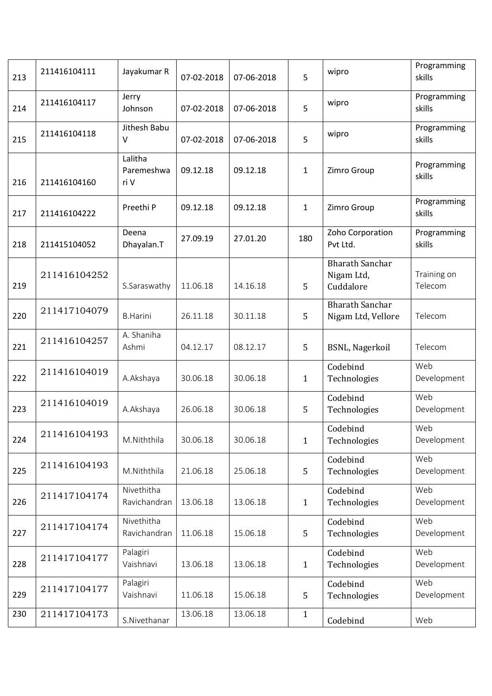| 213 | 211416104111 | Jayakumar R                   | 07-02-2018 | 07-06-2018 | 5            | wipro                                             | Programming<br>skills  |
|-----|--------------|-------------------------------|------------|------------|--------------|---------------------------------------------------|------------------------|
| 214 | 211416104117 | Jerry<br>Johnson              | 07-02-2018 | 07-06-2018 | 5            | wipro                                             | Programming<br>skills  |
| 215 | 211416104118 | Jithesh Babu<br>V             | 07-02-2018 | 07-06-2018 | 5            | wipro                                             | Programming<br>skills  |
| 216 | 211416104160 | Lalitha<br>Paremeshwa<br>ri V | 09.12.18   | 09.12.18   | $\mathbf{1}$ | Zimro Group                                       | Programming<br>skills  |
| 217 | 211416104222 | Preethi P                     | 09.12.18   | 09.12.18   | 1            | Zimro Group                                       | Programming<br>skills  |
| 218 | 211415104052 | Deena<br>Dhayalan.T           | 27.09.19   | 27.01.20   | 180          | Zoho Corporation<br>Pvt Ltd.                      | Programming<br>skills  |
| 219 | 211416104252 | S.Saraswathy                  | 11.06.18   | 14.16.18   | 5            | <b>Bharath Sanchar</b><br>Nigam Ltd,<br>Cuddalore | Training on<br>Telecom |
| 220 | 211417104079 | <b>B.Harini</b>               | 26.11.18   | 30.11.18   | 5            | <b>Bharath Sanchar</b><br>Nigam Ltd, Vellore      | Telecom                |
| 221 | 211416104257 | A. Shaniha<br>Ashmi           | 04.12.17   | 08.12.17   | 5            | BSNL, Nagerkoil                                   | Telecom                |
| 222 | 211416104019 | A.Akshaya                     | 30.06.18   | 30.06.18   | $\mathbf{1}$ | Codebind<br>Technologies                          | Web<br>Development     |
| 223 | 211416104019 | A.Akshaya                     | 26.06.18   | 30.06.18   | 5            | Codebind<br>Technologies                          | Web<br>Development     |
| 224 | 211416104193 | M.Niththila                   | 30.06.18   | 30.06.18   | $\mathbf{1}$ | Codebind<br>Technologies                          | Web<br>Development     |
| 225 | 211416104193 | M.Niththila                   | 21.06.18   | 25.06.18   | 5            | Codebind<br>Technologies                          | Web<br>Development     |
| 226 | 211417104174 | Nivethitha<br>Ravichandran    | 13.06.18   | 13.06.18   | $\mathbf{1}$ | Codebind<br>Technologies                          | Web<br>Development     |
| 227 | 211417104174 | Nivethitha<br>Ravichandran    | 11.06.18   | 15.06.18   | 5            | Codebind<br>Technologies                          | Web<br>Development     |
| 228 | 211417104177 | Palagiri<br>Vaishnavi         | 13.06.18   | 13.06.18   | $\mathbf{1}$ | Codebind<br>Technologies                          | Web<br>Development     |
| 229 | 211417104177 | Palagiri<br>Vaishnavi         | 11.06.18   | 15.06.18   | 5            | Codebind<br>Technologies                          | Web<br>Development     |
| 230 | 211417104173 | S.Nivethanar                  | 13.06.18   | 13.06.18   | $\mathbf{1}$ | Codebind                                          | Web                    |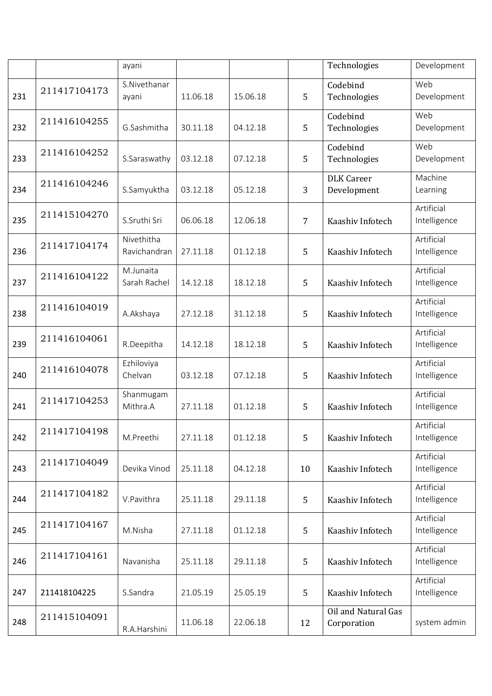|     |              | ayani                      |          |          |                | Technologies                       | Development                |
|-----|--------------|----------------------------|----------|----------|----------------|------------------------------------|----------------------------|
| 231 | 211417104173 | S.Nivethanar<br>ayani      | 11.06.18 | 15.06.18 | 5              | Codebind<br>Technologies           | Web<br>Development         |
| 232 | 211416104255 | G.Sashmitha                | 30.11.18 | 04.12.18 | 5              | Codebind<br>Technologies           | Web<br>Development         |
| 233 | 211416104252 | S.Saraswathy               | 03.12.18 | 07.12.18 | 5              | Codebind<br>Technologies           | Web<br>Development         |
| 234 | 211416104246 | S.Samyuktha                | 03.12.18 | 05.12.18 | 3              | <b>DLK</b> Career<br>Development   | Machine<br>Learning        |
| 235 | 211415104270 | S.Sruthi Sri               | 06.06.18 | 12.06.18 | $\overline{7}$ | Kaashiv Infotech                   | Artificial<br>Intelligence |
| 236 | 211417104174 | Nivethitha<br>Ravichandran | 27.11.18 | 01.12.18 | 5              | Kaashiv Infotech                   | Artificial<br>Intelligence |
| 237 | 211416104122 | M.Junaita<br>Sarah Rachel  | 14.12.18 | 18.12.18 | 5              | Kaashiv Infotech                   | Artificial<br>Intelligence |
| 238 | 211416104019 | A.Akshaya                  | 27.12.18 | 31.12.18 | 5              | Kaashiv Infotech                   | Artificial<br>Intelligence |
| 239 | 211416104061 | R.Deepitha                 | 14.12.18 | 18.12.18 | 5              | Kaashiv Infotech                   | Artificial<br>Intelligence |
| 240 | 211416104078 | Ezhiloviya<br>Chelvan      | 03.12.18 | 07.12.18 | 5              | Kaashiv Infotech                   | Artificial<br>Intelligence |
| 241 | 211417104253 | Shanmugam<br>Mithra.A      | 27.11.18 | 01.12.18 | 5              | Kaashiv Infotech                   | Artificial<br>Intelligence |
| 242 | 211417104198 | M.Preethi                  | 27.11.18 | 01.12.18 | 5              | Kaashiv Infotech                   | Artificial<br>Intelligence |
| 243 | 211417104049 | Devika Vinod               | 25.11.18 | 04.12.18 | 10             | Kaashiv Infotech                   | Artificial<br>Intelligence |
| 244 | 211417104182 | V.Pavithra                 | 25.11.18 | 29.11.18 | 5              | Kaashiv Infotech                   | Artificial<br>Intelligence |
| 245 | 211417104167 | M.Nisha                    | 27.11.18 | 01.12.18 | 5              | Kaashiv Infotech                   | Artificial<br>Intelligence |
| 246 | 211417104161 | Navanisha                  | 25.11.18 | 29.11.18 | $\overline{5}$ | Kaashiv Infotech                   | Artificial<br>Intelligence |
| 247 | 211418104225 | S.Sandra                   | 21.05.19 | 25.05.19 | 5              | Kaashiv Infotech                   | Artificial<br>Intelligence |
| 248 | 211415104091 | R.A.Harshini               | 11.06.18 | 22.06.18 | 12             | Oil and Natural Gas<br>Corporation | system admin               |